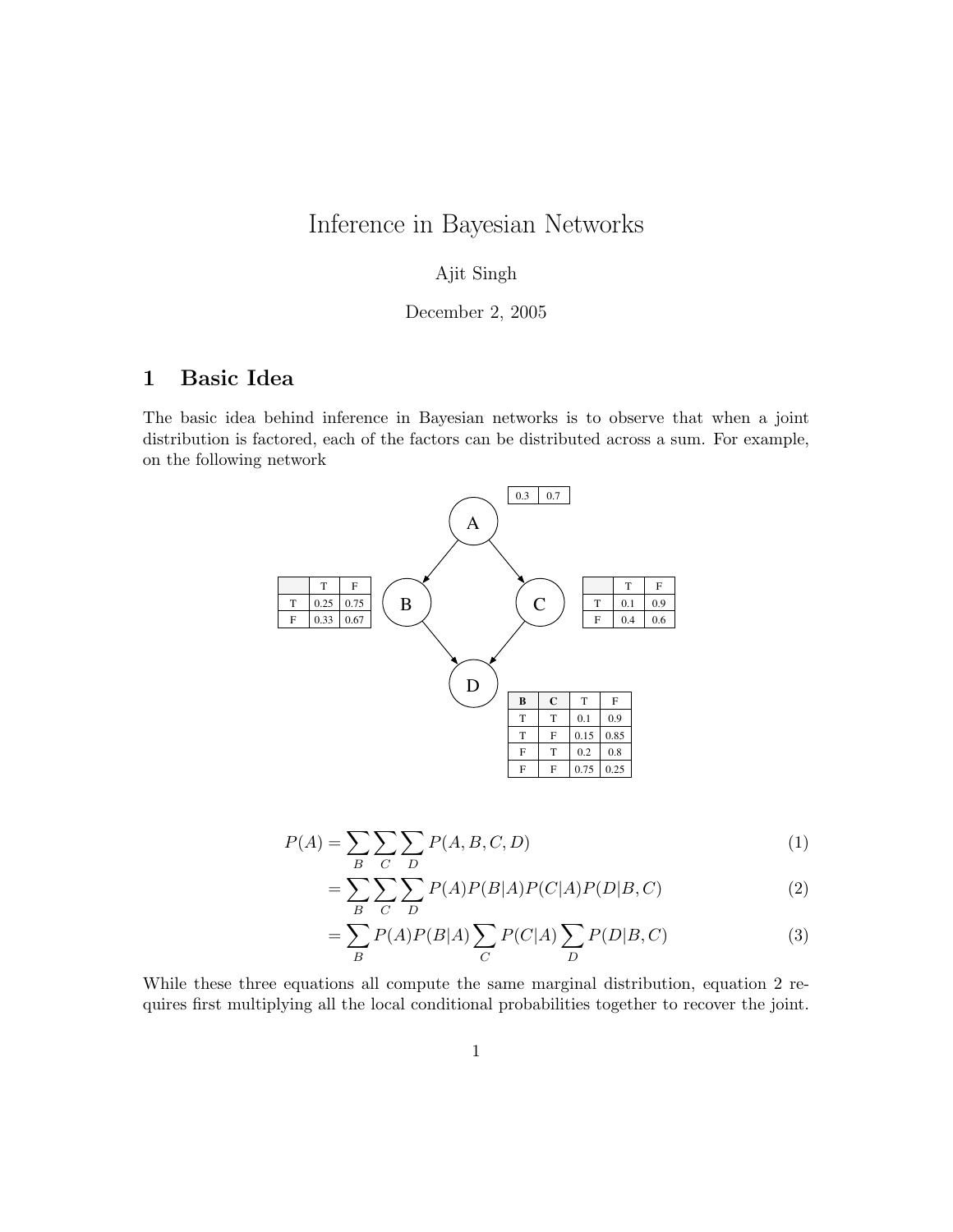# Inference in Bayesian Networks

### Ajit Singh

#### December 2, 2005

## 1 Basic Idea

The basic idea behind inference in Bayesian networks is to observe that when a joint distribution is factored, each of the factors can be distributed across a sum. For example, on the following network



$$
P(A) = \sum_{B} \sum_{C} \sum_{D} P(A, B, C, D) \tag{1}
$$

$$
=\sum_{B}\sum_{C}\sum_{D}P(A)P(B|A)P(C|A)P(D|B,C)\tag{2}
$$

$$
=\sum_{B} P(A)P(B|A) \sum_{C} P(C|A) \sum_{D} P(D|B,C)
$$
\n(3)

While these three equations all compute the same marginal distribution, equation 2 requires first multiplying all the local conditional probabilities together to recover the joint.